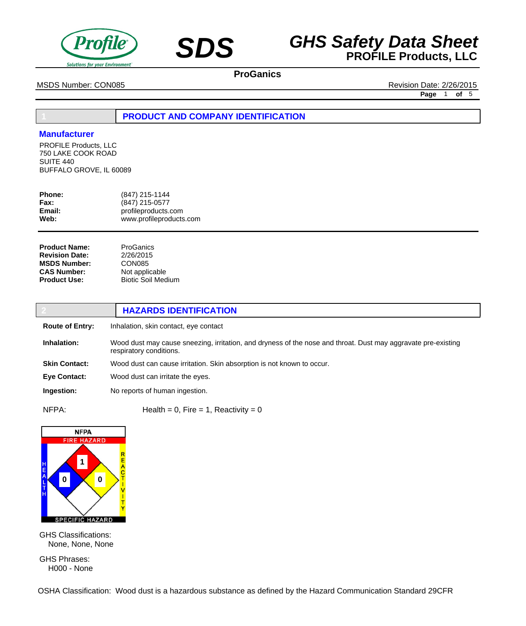



MSDS Number: CON085 **Revision Date: 2/26/2015** 

**Page** 1 **of** 5

# **1 PRODUCT AND COMPANY IDENTIFICATION**

## **Manufacturer**

PROFILE Products, LLC 750 LAKE COOK ROAD SUITE 440 BUFFALO GROVE, IL 60089

| <b>Phone:</b> | (847) 215-1144          |
|---------------|-------------------------|
| Fax:          | (847) 215-0577          |
| Email:        | profileproducts.com     |
| Web:          | www.profileproducts.com |
|               |                         |

| <b>Product Name:</b>  |
|-----------------------|
| <b>Revision Date:</b> |
| <b>MSDS Number:</b>   |
| <b>CAS Number:</b>    |
| <b>Product Use:</b>   |

#### **ProGanics** 2/26/2015 CON085 Not applicable Biotic Soil Medium

|                        | <b>HAZARDS IDENTIFICATION</b>                                                                                                            |
|------------------------|------------------------------------------------------------------------------------------------------------------------------------------|
| <b>Route of Entry:</b> | Inhalation, skin contact, eye contact                                                                                                    |
| Inhalation:            | Wood dust may cause sneezing, irritation, and dryness of the nose and throat. Dust may aggravate pre-existing<br>respiratory conditions. |
| <b>Skin Contact:</b>   | Wood dust can cause irritation. Skin absorption is not known to occur.                                                                   |
| <b>Eve Contact:</b>    | Wood dust can irritate the eyes.                                                                                                         |
| Ingestion:             | No reports of human ingestion.                                                                                                           |
| NFPA:                  | Health = 0, Fire = 1, Reactivity = 0                                                                                                     |



GHS Classifications: None, None, None

GHS Phrases: H000 - None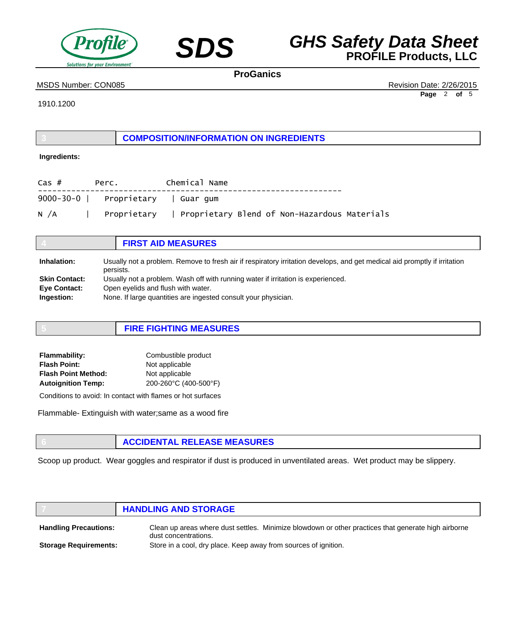



## MSDS Number: CON085 **Revision Date: 2/26/2015**

**Page** 2 **of** 5

1910.1200

**3 COMPOSITION/INFORMATION ON INGREDIENTS**

## **Ingredients:**

| Cas # | Perc.                              | Chemical Name |  |                                                            |
|-------|------------------------------------|---------------|--|------------------------------------------------------------|
|       | 9000-30-0   Proprietary   Guar gum |               |  |                                                            |
| N /A  |                                    |               |  | Proprietary   Proprietary Blend of Non-Hazardous Materials |

|                      | <b>FIRST AID MEASURES</b>                                                                                                              |
|----------------------|----------------------------------------------------------------------------------------------------------------------------------------|
| Inhalation:          | Usually not a problem. Remove to fresh air if respiratory irritation develops, and get medical aid promptly if irritation<br>persists. |
| <b>Skin Contact:</b> | Usually not a problem. Wash off with running water if irritation is experienced.                                                       |
| <b>Eye Contact:</b>  | Open eyelids and flush with water.                                                                                                     |
| Ingestion:           | None. If large quantities are ingested consult your physician.                                                                         |

| <b>FIRE FIGHTING MEASURES</b> |
|-------------------------------|
|                               |

| <b>Flammability:</b>       | Combustible product   |
|----------------------------|-----------------------|
| <b>Flash Point:</b>        | Not applicable        |
| <b>Flash Point Method:</b> | Not applicable        |
| <b>Autoignition Temp:</b>  | 200-260°C (400-500°F) |
|                            |                       |

Conditions to avoid: In contact with flames or hot surfaces

Flammable- Extinguish with water;same as a wood fire

## **6 ACCIDENTAL RELEASE MEASURES**

Scoop up product. Wear goggles and respirator if dust is produced in unventilated areas. Wet product may be slippery.

# **7 HANDLING AND STORAGE**

Clean up areas where dust settles. Minimize blowdown or other practices that generate high airborne dust concentrations. Store in a cool, dry place. Keep away from sources of ignition. **Handling Precautions: Storage Requirements:**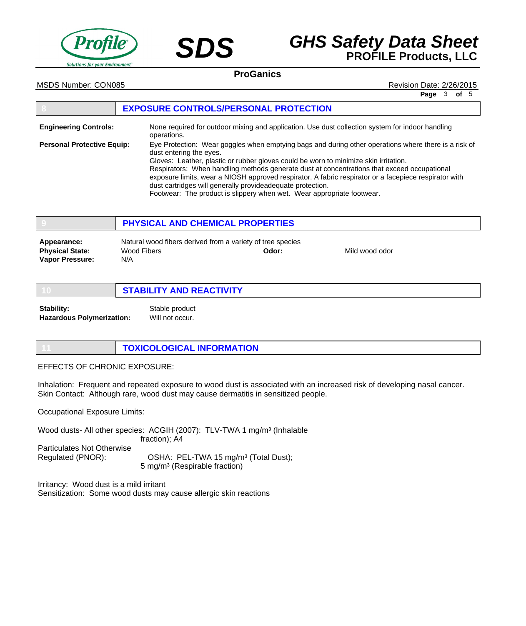



MSDS Number: CON085 **Revision Date: 2/26/2015** 

**Page** 3 **of** 5

|                                   | <b>EXPOSURE CONTROLS/PERSONAL PROTECTION</b>                                                                                                                                                                                                                                                                                                                                                                                                                                                                                                                            |
|-----------------------------------|-------------------------------------------------------------------------------------------------------------------------------------------------------------------------------------------------------------------------------------------------------------------------------------------------------------------------------------------------------------------------------------------------------------------------------------------------------------------------------------------------------------------------------------------------------------------------|
| <b>Engineering Controls:</b>      | None required for outdoor mixing and application. Use dust collection system for indoor handling<br>operations.                                                                                                                                                                                                                                                                                                                                                                                                                                                         |
| <b>Personal Protective Equip:</b> | Eye Protection: Wear goggles when emptying bags and during other operations where there is a risk of<br>dust entering the eyes.<br>Gloves: Leather, plastic or rubber gloves could be worn to minimize skin irritation.<br>Respirators: When handling methods generate dust at concentrations that exceed occupational<br>exposure limits, wear a NIOSH approved respirator. A fabric respirator or a facepiece respirator with<br>dust cartridges will generally provideadequate protection.<br>Footwear: The product is slippery when wet. Wear appropriate footwear. |

|                                                                 | PHYSICAL AND CHEMICAL PROPERTIES                                                 |       |                |  |
|-----------------------------------------------------------------|----------------------------------------------------------------------------------|-------|----------------|--|
| Appearance:<br><b>Physical State:</b><br><b>Vapor Pressure:</b> | Natural wood fibers derived from a variety of tree species<br>Wood Fibers<br>N/A | Odor: | Mild wood odor |  |

|                                  | <b>STABILITY AND REACTIVITY</b> |  |
|----------------------------------|---------------------------------|--|
| <b>Stability:</b>                | Stable product                  |  |
| <b>Hazardous Polymerization:</b> | Will not occur.                 |  |

|  | TOXICOLOGICAL INFORMATION |
|--|---------------------------|
|--|---------------------------|

EFFECTS OF CHRONIC EXPOSURE:

Inhalation: Frequent and repeated exposure to wood dust is associated with an increased risk of developing nasal cancer. Skin Contact: Although rare, wood dust may cause dermatitis in sensitized people.

Occupational Exposure Limits:

Wood dusts- All other species: ACGIH (2007): TLV-TWA 1 mg/m<sup>3</sup> (Inhalable fraction); A4 Particulates Not Otherwise Regulated (PNOR): OSHA: PEL-TWA 15 mg/m<sup>3</sup> (Total Dust); 5 mg/m³ (Respirable fraction)

Irritancy: Wood dust is a mild irritant Sensitization: Some wood dusts may cause allergic skin reactions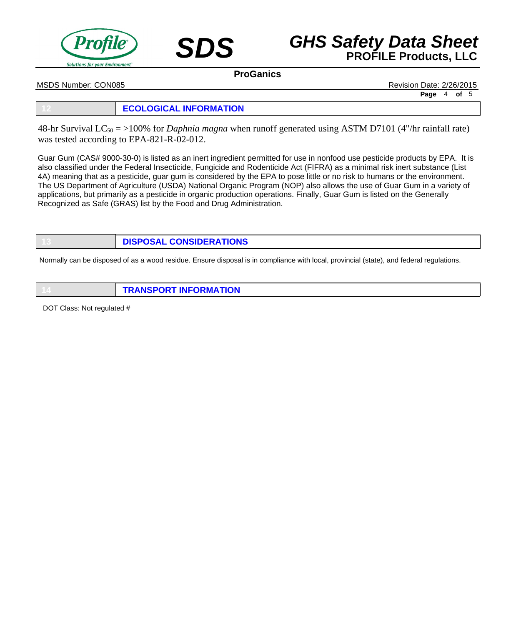



MSDS Number: CON085 Revision Date: 2/26/2015

**Page** 4 **of** 5

## **12 ECOLOGICAL INFORMATION**

48-hr Survival LC50 = >100% for *Daphnia magna* when runoff generated using ASTM D7101 (4"/hr rainfall rate) was tested according to EPA-821-R-02-012.

Guar Gum (CAS# 9000-30-0) is listed as an inert ingredient permitted for use in nonfood use pesticide products by EPA. It is also classified under the Federal Insecticide, Fungicide and Rodenticide Act (FIFRA) as a minimal risk inert substance (List 4A) meaning that as a pesticide, guar gum is considered by the EPA to pose little or no risk to humans or the environment. The US Department of Agriculture (USDA) National Organic Program (NOP) also allows the use of Guar Gum in a variety of applications, but primarily as a pesticide in organic production operations. Finally, Guar Gum is listed on the Generally Recognized as Safe (GRAS) list by the Food and Drug Administration.

# **13 DISPOSAL CONSIDERATIONS**

Normally can be disposed of as a wood residue. Ensure disposal is in compliance with local, provincial (state), and federal regulations.

| <b>TRANSPORT INFORMATION</b> |
|------------------------------|
|                              |

DOT Class: Not regulated #